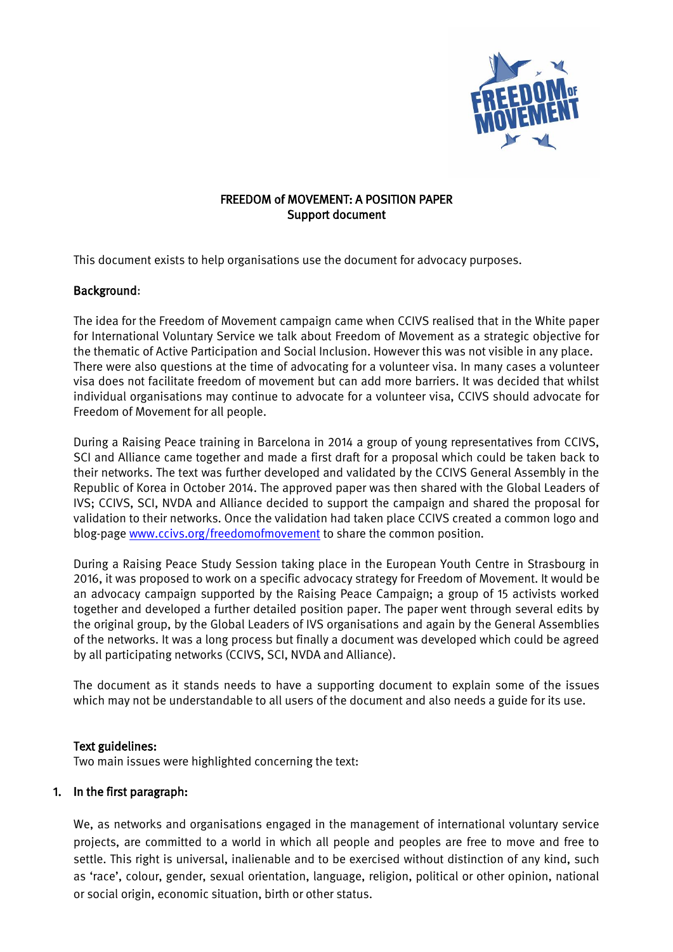

## FREEDOM of MOVEMENT: A POSITION PAPER Support document

This document exists to help organisations use the document for advocacy purposes.

### Background:

The idea for the Freedom of Movement campaign came when CCIVS realised that in the White paper for International Voluntary Service we talk about Freedom of Movement as a strategic objective for the thematic of Active Participation and Social Inclusion. However this was not visible in any place. There were also questions at the time of advocating for a volunteer visa. In many cases a volunteer visa does not facilitate freedom of movement but can add more barriers. It was decided that whilst individual organisations may continue to advocate for a volunteer visa, CCIVS should advocate for Freedom of Movement for all people.

During a Raising Peace training in Barcelona in 2014 a group of young representatives from CCIVS, SCI and Alliance came together and made a first draft for a proposal which could be taken back to their networks. The text was further developed and validated by the CCIVS General Assembly in the Republic of Korea in October 2014. The approved paper was then shared with the Global Leaders of IVS; CCIVS, SCI, NVDA and Alliance decided to support the campaign and shared the proposal for validation to their networks. Once the validation had taken place CCIVS created a common logo and blog-page [www.ccivs.org/freedomofmovement](http://www.ccivs.org/freedomofmovement) to share the common position.

During a Raising Peace Study Session taking place in the European Youth Centre in Strasbourg in 2016, it was proposed to work on a specific advocacy strategy for Freedom of Movement. It would be an advocacy campaign supported by the Raising Peace Campaign; a group of 15 activists worked together and developed a further detailed position paper. The paper went through several edits by the original group, by the Global Leaders of IVS organisations and again by the General Assemblies of the networks. It was a long process but finally a document was developed which could be agreed by all participating networks (CCIVS, SCI, NVDA and Alliance).

The document as it stands needs to have a supporting document to explain some of the issues which may not be understandable to all users of the document and also needs a guide for its use.

#### Text guidelines:

Two main issues were highlighted concerning the text:

#### 1. In the first paragraph:

We, as networks and organisations engaged in the management of international voluntary service projects, are committed to a world in which all people and peoples are free to move and free to settle. This right is universal, inalienable and to be exercised without distinction of any kind, such as 'race', colour, gender, sexual orientation, language, religion, political or other opinion, national or social origin, economic situation, birth or other status.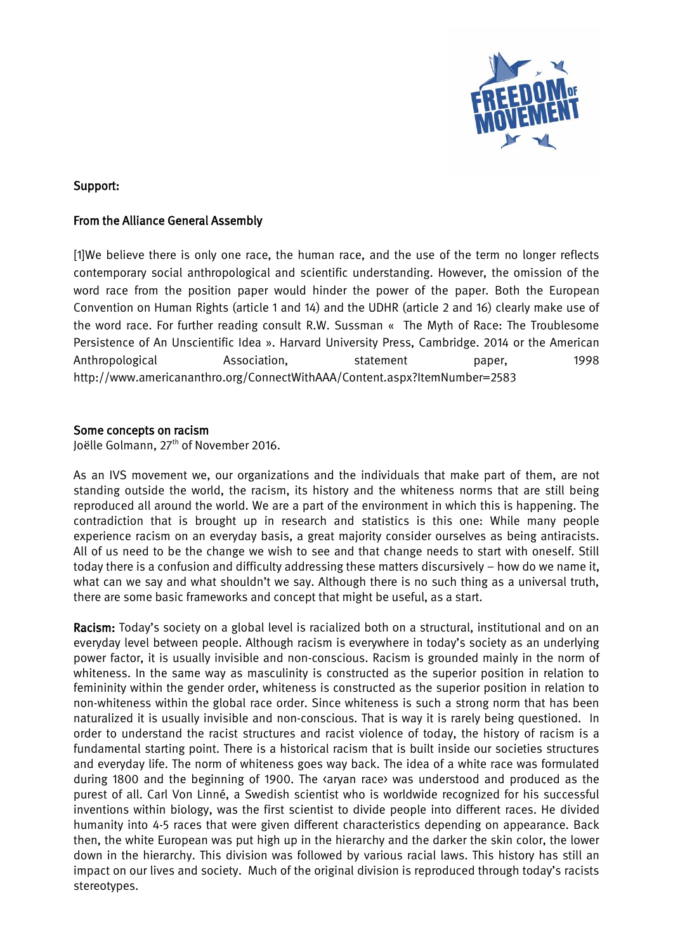

### Support:

#### From the Alliance General Assembly

[1]We believe there is only one race, the human race, and the use of the term no longer reflects contemporary social anthropological and scientific understanding. However, the omission of the word race from the position paper would hinder the power of the paper. Both the European Convention on Human Rights (article 1 and 14) and the UDHR (article 2 and 16) clearly make use of the word race. For further reading consult R.W. Sussman « The Myth of Race: The Troublesome Persistence of An Unscientific Idea ». Harvard University Press, Cambridge. 2014 or the American Anthropological Association, statement paper, 1998 <http://www.americananthro.org/ConnectWithAAA/Content.aspx?ItemNumber=2583>

### Some concepts on racism

Joëlle Golmann, 27<sup>th</sup> of November 2016.

As an IVS movement we, our organizations and the individuals that make part of them, are not standing outside the world, the racism, its history and the whiteness norms that are still being reproduced all around the world. We are a part of the environment in which this is happening. The contradiction that is brought up in research and statistics is this one: While many people experience racism on an everyday basis, a great majority consider ourselves as being antiracists. All of us need to be the change we wish to see and that change needs to start with oneself. Still today there is a confusion and difficulty addressing these matters discursively – how do we name it, what can we say and what shouldn't we say. Although there is no such thing as a universal truth, there are some basic frameworks and concept that might be useful, as a start.

Racism: Today's society on a global level is racialized both on a structural, institutional and on an everyday level between people. Although racism is everywhere in today's society as an underlying power factor, it is usually invisible and non-conscious. Racism is grounded mainly in the norm of whiteness. In the same way as masculinity is constructed as the superior position in relation to femininity within the gender order, whiteness is constructed as the superior position in relation to non-whiteness within the global race order. Since whiteness is such a strong norm that has been naturalized it is usually invisible and non-conscious. That is way it is rarely being questioned. In order to understand the racist structures and racist violence of today, the history of racism is a fundamental starting point. There is a historical racism that is built inside our societies structures and everyday life. The norm of whiteness goes way back. The idea of a white race was formulated during 1800 and the beginning of 1900. The saryan race was understood and produced as the purest of all. Carl Von Linné, a Swedish scientist who is worldwide recognized for his successful inventions within biology, was the first scientist to divide people into different races. He divided humanity into 4-5 races that were given different characteristics depending on appearance. Back then, the white European was put high up in the hierarchy and the darker the skin color, the lower down in the hierarchy. This division was followed by various racial laws. This history has still an impact on our lives and society. Much of the original division is reproduced through today's racists stereotypes.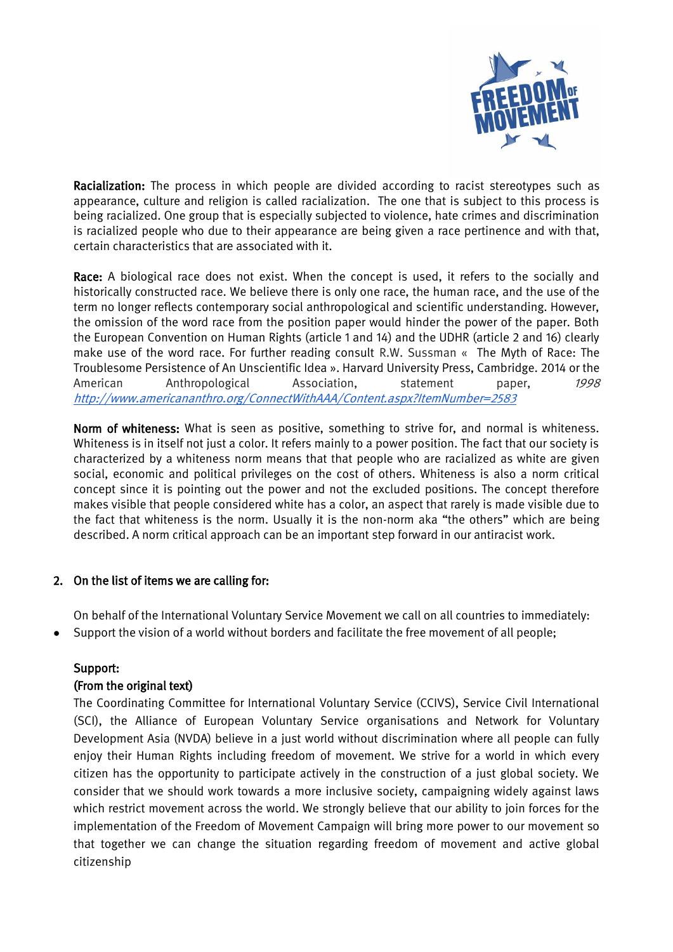

Racialization: The process in which people are divided according to racist stereotypes such as appearance, culture and religion is called racialization. The one that is subject to this process is being racialized. One group that is especially subjected to violence, hate crimes and discrimination is racialized people who due to their appearance are being given a race pertinence and with that, certain characteristics that are associated with it.

Race: A biological race does not exist. When the concept is used, it refers to the socially and historically constructed race. We believe there is only one race, the human race, and the use of the term no longer reflects contemporary social anthropological and scientific understanding. However, the omission of the word race from the position paper would hinder the power of the paper. Both the European Convention on Human Rights (article 1 and 14) and the UDHR (article 2 and 16) clearly make use of the word race. For further reading consult R.W. Sussman « The Myth of Race: The Troublesome Persistence of An Unscientific Idea ». Harvard University Press, Cambridge. 2014 or the American Anthropological Association, statement paper, 1998 <http://www.americananthro.org/ConnectWithAAA/Content.aspx?ItemNumber=2583>

Norm of whiteness: What is seen as positive, something to strive for, and normal is whiteness. Whiteness is in itself not just a color. It refers mainly to a power position. The fact that our society is characterized by a whiteness norm means that that people who are racialized as white are given social, economic and political privileges on the cost of others. Whiteness is also a norm critical concept since it is pointing out the power and not the excluded positions. The concept therefore makes visible that people considered white has a color, an aspect that rarely is made visible due to the fact that whiteness is the norm. Usually it is the non-norm aka "the others" which are being described. A norm critical approach can be an important step forward in our antiracist work.

## 2. On the list of items we are calling for:

On behalf of the International Voluntary Service Movement we call on all countries to immediately: Support the vision of a world without borders and facilitate the free movement of all people;

## Support:

## (From the original text)

The Coordinating Committee for International Voluntary Service (CCIVS), Service Civil International (SCI), the Alliance of European Voluntary Service organisations and Network for Voluntary Development Asia (NVDA) believe in a just world without discrimination where all people can fully enjoy their Human Rights including freedom of movement. We strive for a world in which every citizen has the opportunity to participate actively in the construction of a just global society. We consider that we should work towards a more inclusive society, campaigning widely against laws which restrict movement across the world. We strongly believe that our ability to join forces for the implementation of the Freedom of Movement Campaign will bring more power to our movement so that together we can change the situation regarding freedom of movement and active global citizenship